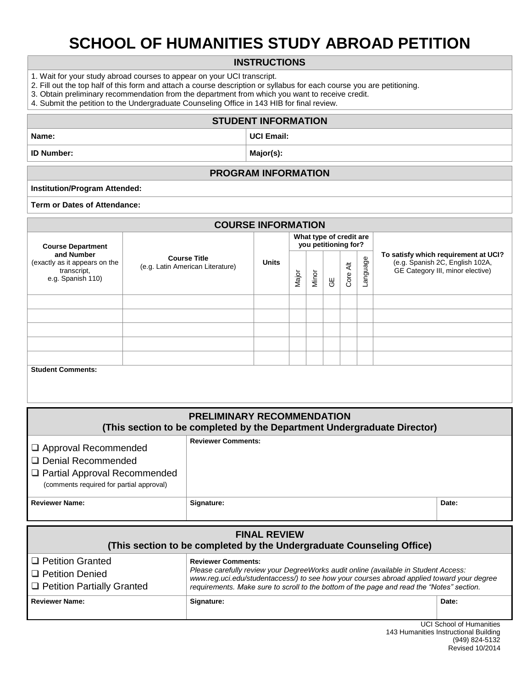## **SCHOOL OF HUMANITIES STUDY ABROAD PETITION**

#### **INSTRUCTIONS**

- 1. Wait for your study abroad courses to appear on your UCI transcript.
- 2. Fill out the top half of this form and attach a course description or syllabus for each course you are petitioning.
- 3. Obtain preliminary recommendation from the department from which you want to receive credit.

4. Submit the petition to the Undergraduate Counseling Office in 143 HIB for final review.

#### **STUDENT INFORMATION**

### **Name: UCI Email:**

**ID Number: Major(s): Major(s): Major(s):** 

#### **PROGRAM INFORMATION**

#### **Institution/Program Attended:**

#### **Term or Dates of Attendance:**

| <b>COURSE INFORMATION</b>                                                       |                                                         |              |                                                 |       |    |           |          |                                                                                                             |  |  |
|---------------------------------------------------------------------------------|---------------------------------------------------------|--------------|-------------------------------------------------|-------|----|-----------|----------|-------------------------------------------------------------------------------------------------------------|--|--|
| <b>Course Department</b>                                                        |                                                         |              | What type of credit are<br>you petitioning for? |       |    |           |          |                                                                                                             |  |  |
| and Number<br>(exactly as it appears on the<br>transcript,<br>e.g. Spanish 110) | <b>Course Title</b><br>(e.g. Latin American Literature) | <b>Units</b> | Major                                           | Minor | ĞΕ | ₹<br>Core | Language | To satisfy which requirement at UCI?<br>(e.g. Spanish 2C, English 102A,<br>GE Category III, minor elective) |  |  |
|                                                                                 |                                                         |              |                                                 |       |    |           |          |                                                                                                             |  |  |
|                                                                                 |                                                         |              |                                                 |       |    |           |          |                                                                                                             |  |  |
|                                                                                 |                                                         |              |                                                 |       |    |           |          |                                                                                                             |  |  |
|                                                                                 |                                                         |              |                                                 |       |    |           |          |                                                                                                             |  |  |
|                                                                                 |                                                         |              |                                                 |       |    |           |          |                                                                                                             |  |  |
| <b>Student Comments:</b>                                                        |                                                         |              |                                                 |       |    |           |          |                                                                                                             |  |  |

| <b>PRELIMINARY RECOMMENDATION</b><br>(This section to be completed by the Department Undergraduate Director)                        |                           |       |  |  |  |  |  |
|-------------------------------------------------------------------------------------------------------------------------------------|---------------------------|-------|--|--|--|--|--|
| $\Box$ Approval Recommended<br>□ Denial Recommended<br>  □ Partial Approval Recommended<br>(comments required for partial approval) | <b>Reviewer Comments:</b> |       |  |  |  |  |  |
| <b>Reviewer Name:</b>                                                                                                               | Signature:                | Date: |  |  |  |  |  |

| <b>FINAL REVIEW</b><br>(This section to be completed by the Undergraduate Counseling Office) |                                                                                                                                                                                                                                                                                                            |       |  |  |  |  |  |
|----------------------------------------------------------------------------------------------|------------------------------------------------------------------------------------------------------------------------------------------------------------------------------------------------------------------------------------------------------------------------------------------------------------|-------|--|--|--|--|--|
| □ Petition Granted<br>I □ Petition Denied<br>□ Petition Partially Granted                    | <b>Reviewer Comments:</b><br>Please carefully review your DegreeWorks audit online (available in Student Access:<br>www.reg.uci.edu/studentaccess/) to see how your courses abroad applied toward your degree<br>requirements. Make sure to scroll to the bottom of the page and read the "Notes" section. |       |  |  |  |  |  |
| <b>Reviewer Name:</b>                                                                        | Signature:                                                                                                                                                                                                                                                                                                 | Date: |  |  |  |  |  |

#### UCI School of Humanities 143 Humanities Instructional Building (949) 824-5132 Revised 10/2014